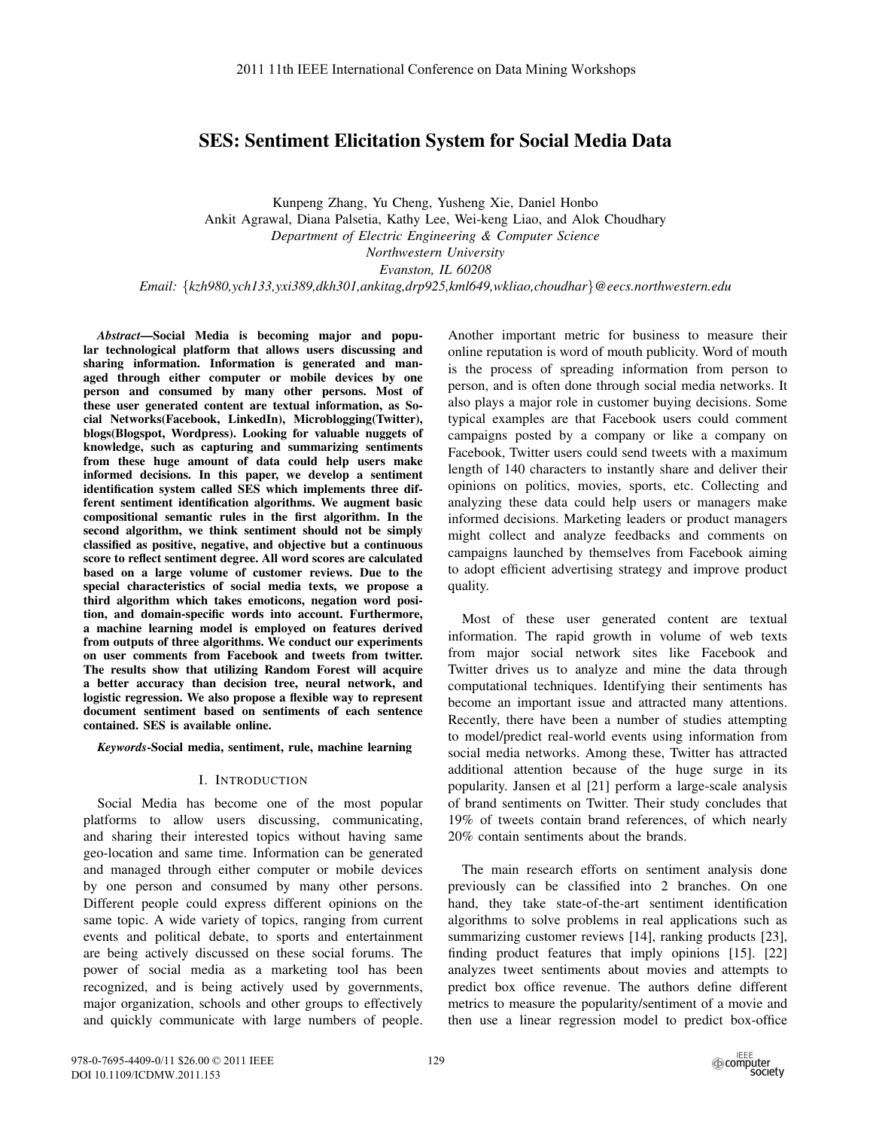# SES: Sentiment Elicitation System for Social Media Data

Kunpeng Zhang, Yu Cheng, Yusheng Xie, Daniel Honbo Ankit Agrawal, Diana Palsetia, Kathy Lee, Wei-keng Liao, and Alok Choudhary *Department of Electric Engineering & Computer Science Northwestern University Evanston, IL 60208 Email:* {*kzh980,ych133,yxi389,dkh301,ankitag,drp925,kml649,wkliao,choudhar*}*@eecs.northwestern.edu*

*Abstract*—Social Media is becoming major and popular technological platform that allows users discussing and sharing information. Information is generated and managed through either computer or mobile devices by one person and consumed by many other persons. Most of these user generated content are textual information, as Social Networks(Facebook, LinkedIn), Microblogging(Twitter), blogs(Blogspot, Wordpress). Looking for valuable nuggets of knowledge, such as capturing and summarizing sentiments from these huge amount of data could help users make informed decisions. In this paper, we develop a sentiment identification system called SES which implements three different sentiment identification algorithms. We augment basic compositional semantic rules in the first algorithm. In the second algorithm, we think sentiment should not be simply classified as positive, negative, and objective but a continuous score to reflect sentiment degree. All word scores are calculated based on a large volume of customer reviews. Due to the special characteristics of social media texts, we propose a third algorithm which takes emoticons, negation word position, and domain-specific words into account. Furthermore, a machine learning model is employed on features derived from outputs of three algorithms. We conduct our experiments on user comments from Facebook and tweets from twitter. The results show that utilizing Random Forest will acquire a better accuracy than decision tree, neural network, and logistic regression. We also propose a flexible way to represent document sentiment based on sentiments of each sentence contained. SES is available online.

*Keywords*-Social media, sentiment, rule, machine learning

### I. INTRODUCTION

Social Media has become one of the most popular platforms to allow users discussing, communicating, and sharing their interested topics without having same geo-location and same time. Information can be generated and managed through either computer or mobile devices by one person and consumed by many other persons. Different people could express different opinions on the same topic. A wide variety of topics, ranging from current events and political debate, to sports and entertainment are being actively discussed on these social forums. The power of social media as a marketing tool has been recognized, and is being actively used by governments, major organization, schools and other groups to effectively and quickly communicate with large numbers of people. Another important metric for business to measure their online reputation is word of mouth publicity. Word of mouth is the process of spreading information from person to person, and is often done through social media networks. It also plays a major role in customer buying decisions. Some typical examples are that Facebook users could comment campaigns posted by a company or like a company on Facebook, Twitter users could send tweets with a maximum length of 140 characters to instantly share and deliver their opinions on politics, movies, sports, etc. Collecting and analyzing these data could help users or managers make informed decisions. Marketing leaders or product managers might collect and analyze feedbacks and comments on campaigns launched by themselves from Facebook aiming to adopt efficient advertising strategy and improve product quality.

Most of these user generated content are textual information. The rapid growth in volume of web texts from major social network sites like Facebook and Twitter drives us to analyze and mine the data through computational techniques. Identifying their sentiments has become an important issue and attracted many attentions. Recently, there have been a number of studies attempting to model/predict real-world events using information from social media networks. Among these, Twitter has attracted additional attention because of the huge surge in its popularity. Jansen et al [21] perform a large-scale analysis of brand sentiments on Twitter. Their study concludes that 19% of tweets contain brand references, of which nearly 20% contain sentiments about the brands.

The main research efforts on sentiment analysis done previously can be classified into 2 branches. On one hand, they take state-of-the-art sentiment identification algorithms to solve problems in real applications such as summarizing customer reviews [14], ranking products [23], finding product features that imply opinions [15]. [22] analyzes tweet sentiments about movies and attempts to predict box office revenue. The authors define different metrics to measure the popularity/sentiment of a movie and then use a linear regression model to predict box-office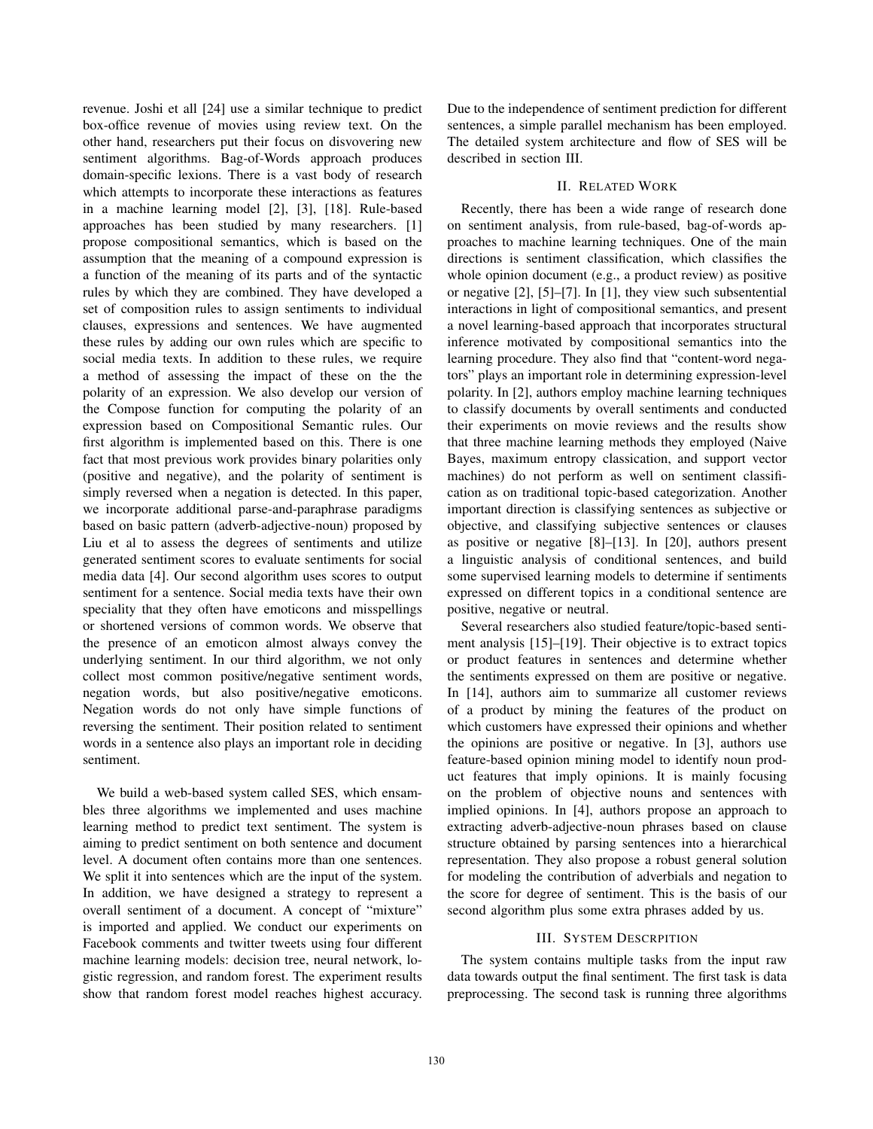revenue. Joshi et all [24] use a similar technique to predict box-office revenue of movies using review text. On the other hand, researchers put their focus on disvovering new sentiment algorithms. Bag-of-Words approach produces domain-specific lexions. There is a vast body of research which attempts to incorporate these interactions as features in a machine learning model [2], [3], [18]. Rule-based approaches has been studied by many researchers. [1] propose compositional semantics, which is based on the assumption that the meaning of a compound expression is a function of the meaning of its parts and of the syntactic rules by which they are combined. They have developed a set of composition rules to assign sentiments to individual clauses, expressions and sentences. We have augmented these rules by adding our own rules which are specific to social media texts. In addition to these rules, we require a method of assessing the impact of these on the the polarity of an expression. We also develop our version of the Compose function for computing the polarity of an expression based on Compositional Semantic rules. Our first algorithm is implemented based on this. There is one fact that most previous work provides binary polarities only (positive and negative), and the polarity of sentiment is simply reversed when a negation is detected. In this paper, we incorporate additional parse-and-paraphrase paradigms based on basic pattern (adverb-adjective-noun) proposed by Liu et al to assess the degrees of sentiments and utilize generated sentiment scores to evaluate sentiments for social media data [4]. Our second algorithm uses scores to output sentiment for a sentence. Social media texts have their own speciality that they often have emoticons and misspellings or shortened versions of common words. We observe that the presence of an emoticon almost always convey the underlying sentiment. In our third algorithm, we not only collect most common positive/negative sentiment words, negation words, but also positive/negative emoticons. Negation words do not only have simple functions of reversing the sentiment. Their position related to sentiment words in a sentence also plays an important role in deciding sentiment.

We build a web-based system called SES, which ensambles three algorithms we implemented and uses machine learning method to predict text sentiment. The system is aiming to predict sentiment on both sentence and document level. A document often contains more than one sentences. We split it into sentences which are the input of the system. In addition, we have designed a strategy to represent a overall sentiment of a document. A concept of "mixture" is imported and applied. We conduct our experiments on Facebook comments and twitter tweets using four different machine learning models: decision tree, neural network, logistic regression, and random forest. The experiment results show that random forest model reaches highest accuracy. Due to the independence of sentiment prediction for different sentences, a simple parallel mechanism has been employed. The detailed system architecture and flow of SES will be described in section III.

## II. RELATED WORK

Recently, there has been a wide range of research done on sentiment analysis, from rule-based, bag-of-words approaches to machine learning techniques. One of the main directions is sentiment classification, which classifies the whole opinion document (e.g., a product review) as positive or negative [2], [5]–[7]. In [1], they view such subsentential interactions in light of compositional semantics, and present a novel learning-based approach that incorporates structural inference motivated by compositional semantics into the learning procedure. They also find that "content-word negators" plays an important role in determining expression-level polarity. In [2], authors employ machine learning techniques to classify documents by overall sentiments and conducted their experiments on movie reviews and the results show that three machine learning methods they employed (Naive Bayes, maximum entropy classication, and support vector machines) do not perform as well on sentiment classification as on traditional topic-based categorization. Another important direction is classifying sentences as subjective or objective, and classifying subjective sentences or clauses as positive or negative [8]–[13]. In [20], authors present a linguistic analysis of conditional sentences, and build some supervised learning models to determine if sentiments expressed on different topics in a conditional sentence are positive, negative or neutral.

Several researchers also studied feature/topic-based sentiment analysis [15]–[19]. Their objective is to extract topics or product features in sentences and determine whether the sentiments expressed on them are positive or negative. In [14], authors aim to summarize all customer reviews of a product by mining the features of the product on which customers have expressed their opinions and whether the opinions are positive or negative. In [3], authors use feature-based opinion mining model to identify noun product features that imply opinions. It is mainly focusing on the problem of objective nouns and sentences with implied opinions. In [4], authors propose an approach to extracting adverb-adjective-noun phrases based on clause structure obtained by parsing sentences into a hierarchical representation. They also propose a robust general solution for modeling the contribution of adverbials and negation to the score for degree of sentiment. This is the basis of our second algorithm plus some extra phrases added by us.

### III. SYSTEM DESCRPITION

The system contains multiple tasks from the input raw data towards output the final sentiment. The first task is data preprocessing. The second task is running three algorithms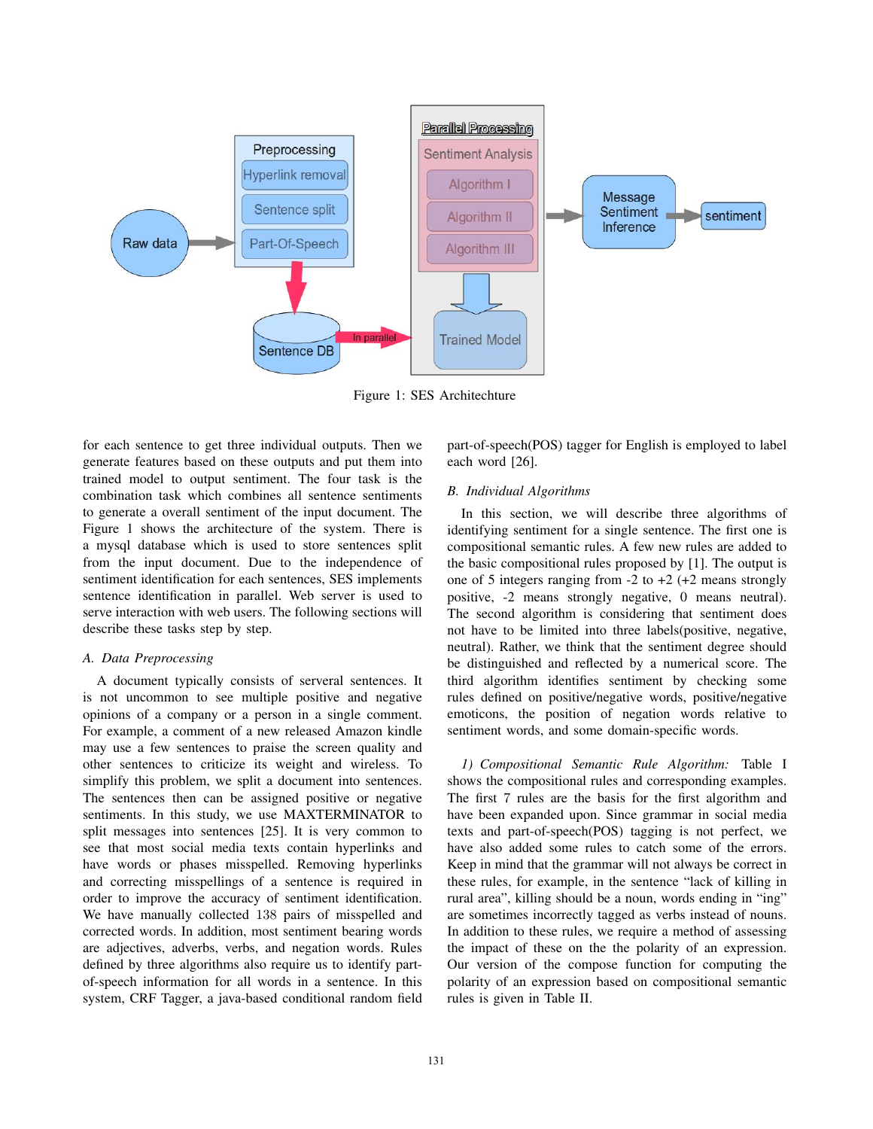

Figure 1: SES Architechture

for each sentence to get three individual outputs. Then we generate features based on these outputs and put them into trained model to output sentiment. The four task is the combination task which combines all sentence sentiments to generate a overall sentiment of the input document. The Figure 1 shows the architecture of the system. There is a mysql database which is used to store sentences split from the input document. Due to the independence of sentiment identification for each sentences, SES implements sentence identification in parallel. Web server is used to serve interaction with web users. The following sections will describe these tasks step by step.

# *A. Data Preprocessing*

A document typically consists of serveral sentences. It is not uncommon to see multiple positive and negative opinions of a company or a person in a single comment. For example, a comment of a new released Amazon kindle may use a few sentences to praise the screen quality and other sentences to criticize its weight and wireless. To simplify this problem, we split a document into sentences. The sentences then can be assigned positive or negative sentiments. In this study, we use MAXTERMINATOR to split messages into sentences [25]. It is very common to see that most social media texts contain hyperlinks and have words or phases misspelled. Removing hyperlinks and correcting misspellings of a sentence is required in order to improve the accuracy of sentiment identification. We have manually collected 138 pairs of misspelled and corrected words. In addition, most sentiment bearing words are adjectives, adverbs, verbs, and negation words. Rules defined by three algorithms also require us to identify partof-speech information for all words in a sentence. In this system, CRF Tagger, a java-based conditional random field

part-of-speech(POS) tagger for English is employed to label each word [26].

# *B. Individual Algorithms*

In this section, we will describe three algorithms of identifying sentiment for a single sentence. The first one is compositional semantic rules. A few new rules are added to the basic compositional rules proposed by [1]. The output is one of 5 integers ranging from  $-2$  to  $+2$  ( $+2$  means strongly positive, -2 means strongly negative, 0 means neutral). The second algorithm is considering that sentiment does not have to be limited into three labels(positive, negative, neutral). Rather, we think that the sentiment degree should be distinguished and reflected by a numerical score. The third algorithm identifies sentiment by checking some rules defined on positive/negative words, positive/negative emoticons, the position of negation words relative to sentiment words, and some domain-specific words.

*1) Compositional Semantic Rule Algorithm:* Table I shows the compositional rules and corresponding examples. The first 7 rules are the basis for the first algorithm and have been expanded upon. Since grammar in social media texts and part-of-speech(POS) tagging is not perfect, we have also added some rules to catch some of the errors. Keep in mind that the grammar will not always be correct in these rules, for example, in the sentence "lack of killing in rural area", killing should be a noun, words ending in "ing" are sometimes incorrectly tagged as verbs instead of nouns. In addition to these rules, we require a method of assessing the impact of these on the the polarity of an expression. Our version of the compose function for computing the polarity of an expression based on compositional semantic rules is given in Table II.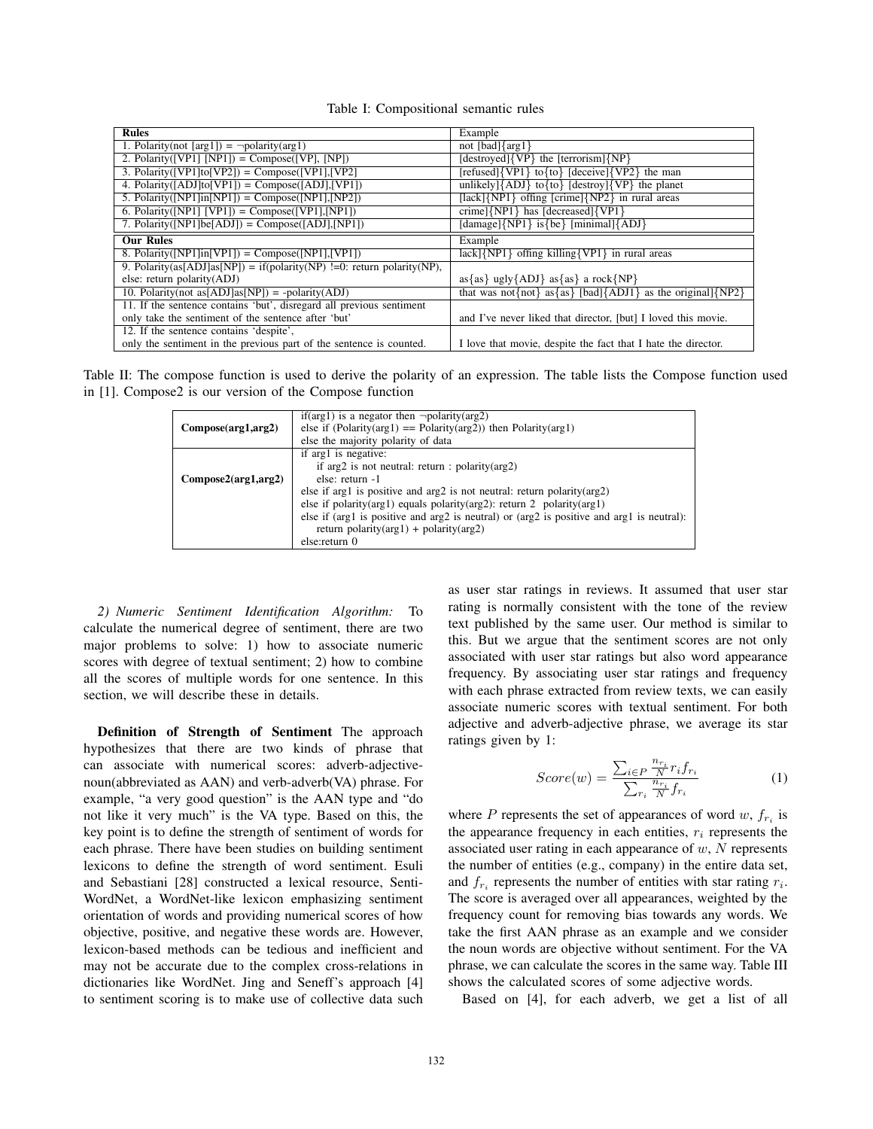| Table I: Compositional semantic rules |  |
|---------------------------------------|--|
|---------------------------------------|--|

| <b>Rules</b>                                                           | Example                                                       |
|------------------------------------------------------------------------|---------------------------------------------------------------|
| 1. Polarity(not [arg1]) = $\neg$ polarity(arg1)                        | not [bad] $\{arg1\}$                                          |
| 2. Polarity([VP1] [NP1]) = Compose([VP], [NP])                         | $[destroyed]\{VP\}$ the $[terrorism]\{NP\}$                   |
| 3. Polarity([VP1]to[VP2]) = Compose([VP1],[VP2]                        | [refused]{VP1} to{to} [deceive]{VP2} the man                  |
| 4. Polarity([ADJ]to[VP1]) = Compose([ADJ],[VP1])                       | unlikely] ${ADJ}$ to ${to}$ [destroy] ${VP}$ the planet       |
| 5. Polarity( $[NP1]$ in $[NP1]$ ) = Compose( $[NP1]$ , $[NP2]$ )       | [lack] $\{NP1\}$ offing [crime] $\{NP2\}$ in rural areas      |
| 6. Polarity([NP1] [VP1]) = Compose([VP1],[NP1])                        | crime] $\{NP1\}$ has [decreased] $\{VP1\}$                    |
| 7. Polarity([NP1]be[ADJ]) = Compose([ADJ],[NP1])                       | $\{\text{damage}\}\$ is {be} $\{\text{minimal}\}\$ ADJ}       |
| <b>Our Rules</b>                                                       | Example                                                       |
| 8. Polarity([NP1]in[VP1]) = Compose([NP1],[VP1])                       | $lack\{NP1\}$ offing killing $\{VP1\}$ in rural areas         |
| 9. Polarity(as[ADJ]as[NP]) = if(polarity(NP) !=0: return polarity(NP), |                                                               |
| else: return polarity(ADJ)                                             | $as{as} \{ as\}$ ugly ${ADJ}$ as ${as}$ a rock ${NP}$         |
| 10. Polarity(not as [ADJ] as [NP]) = -polarity(ADJ)                    | that was not{not} as{as} [bad]{ADJ1} as the original]{NP2}    |
| 11. If the sentence contains 'but', disregard all previous sentiment   |                                                               |
| only take the sentiment of the sentence after 'but'                    | and I've never liked that director, [but] I loved this movie. |
| 12. If the sentence contains 'despite',                                |                                                               |
| only the sentiment in the previous part of the sentence is counted.    | I love that movie, despite the fact that I hate the director. |

Table II: The compose function is used to derive the polarity of an expression. The table lists the Compose function used in [1]. Compose2 is our version of the Compose function

| Compose(arg1, arg2)                  | if(arg1) is a negator then $\neg$ polarity(arg2)<br>else if (Polarity( $arg 1$ ) = Polarity( $arg 2$ )) then Polarity( $arg 1$ )<br>else the majority polarity of data                                                                                                                                                                                                                                                           |
|--------------------------------------|----------------------------------------------------------------------------------------------------------------------------------------------------------------------------------------------------------------------------------------------------------------------------------------------------------------------------------------------------------------------------------------------------------------------------------|
| $Compose2(\text{arg1}, \text{arg2})$ | if arg1 is negative:<br>if $arg2$ is not neutral: return : polarity $arg2$ )<br>else: return -1<br>else if arg1 is positive and arg2 is not neutral: return polarity (arg2)<br>else if polarity( $arg1$ ) equals polarity( $arg2$ ): return 2 polarity( $arg1$ )<br>else if (arg1 is positive and arg2 is neutral) or (arg2 is positive and arg1 is neutral):<br>return polarity( $arg1$ ) + polarity( $arg2$ )<br>else:return 0 |

*2) Numeric Sentiment Identification Algorithm:* To calculate the numerical degree of sentiment, there are two major problems to solve: 1) how to associate numeric scores with degree of textual sentiment; 2) how to combine all the scores of multiple words for one sentence. In this section, we will describe these in details.

Definition of Strength of Sentiment The approach hypothesizes that there are two kinds of phrase that can associate with numerical scores: adverb-adjectivenoun(abbreviated as AAN) and verb-adverb(VA) phrase. For example, "a very good question" is the AAN type and "do not like it very much" is the VA type. Based on this, the key point is to define the strength of sentiment of words for each phrase. There have been studies on building sentiment lexicons to define the strength of word sentiment. Esuli and Sebastiani [28] constructed a lexical resource, Senti-WordNet, a WordNet-like lexicon emphasizing sentiment orientation of words and providing numerical scores of how objective, positive, and negative these words are. However, lexicon-based methods can be tedious and inefficient and may not be accurate due to the complex cross-relations in dictionaries like WordNet. Jing and Seneff's approach [4] to sentiment scoring is to make use of collective data such as user star ratings in reviews. It assumed that user star rating is normally consistent with the tone of the review text published by the same user. Our method is similar to this. But we argue that the sentiment scores are not only associated with user star ratings but also word appearance frequency. By associating user star ratings and frequency with each phrase extracted from review texts, we can easily associate numeric scores with textual sentiment. For both adjective and adverb-adjective phrase, we average its star ratings given by 1:

$$
Score(w) = \frac{\sum_{i \in P} \frac{n_{r_i}}{N} r_i f_{r_i}}{\sum_{r_i} \frac{n_{r_i}}{N} f_{r_i}}
$$
(1)

where P represents the set of appearances of word  $w, f_{r_i}$  is the appearance frequency in each entities,  $r_i$  represents the associated user rating in each appearance of  $w$ ,  $N$  represents the number of entities (e.g., company) in the entire data set, and  $f_{r_i}$  represents the number of entities with star rating  $r_i$ . The score is averaged over all appearances, weighted by the frequency count for removing bias towards any words. We take the first AAN phrase as an example and we consider the noun words are objective without sentiment. For the VA phrase, we can calculate the scores in the same way. Table III shows the calculated scores of some adjective words.

Based on [4], for each adverb, we get a list of all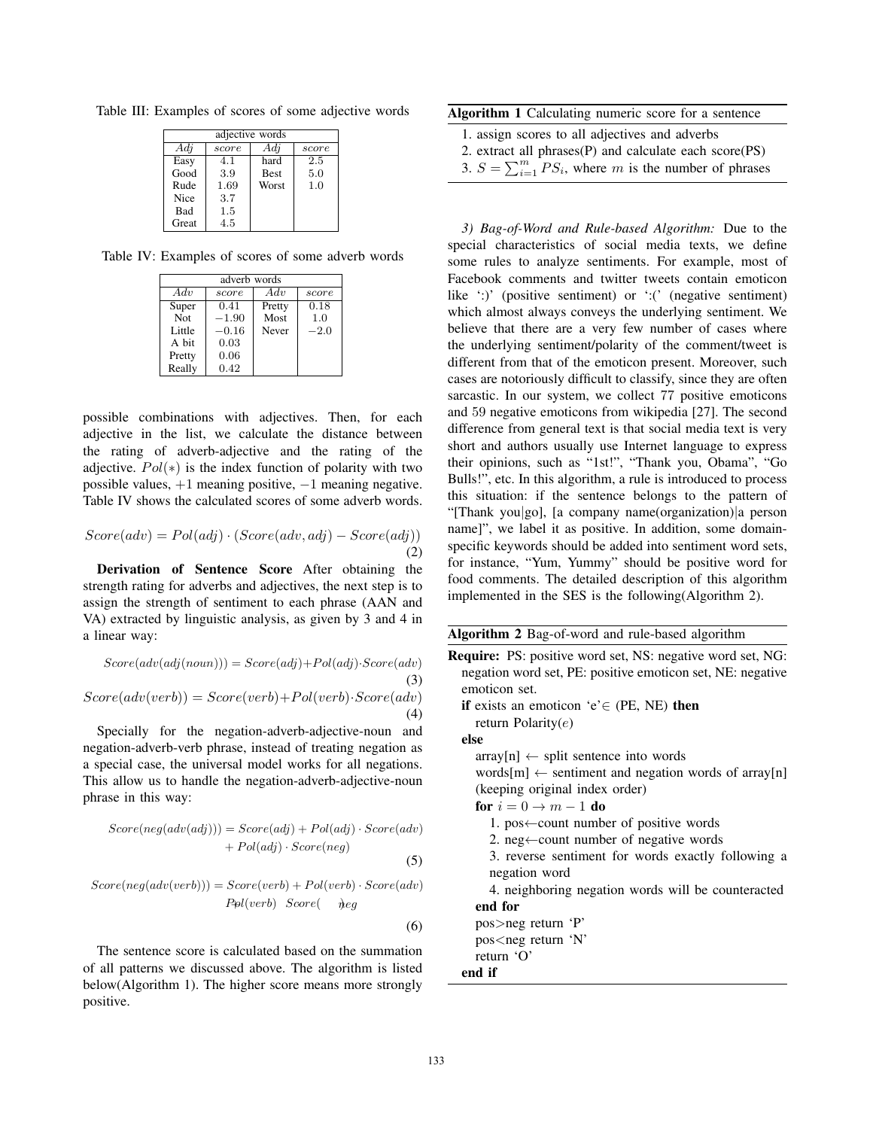Table III: Examples of scores of some adjective words

| adjective words |       |             |       |
|-----------------|-------|-------------|-------|
| Adj             | score | Adi         | score |
| Easy            | 4.1   | hard        | 2.5   |
| Good            | 3.9   | <b>Best</b> | 5.0   |
| Rude            | 1.69  | Worst       | 1.0   |
| Nice            | 3.7   |             |       |
| Bad             | 1.5   |             |       |
| Great           | 4.5   |             |       |

Table IV: Examples of scores of some adverb words

| adverb words |         |        |        |  |
|--------------|---------|--------|--------|--|
| Adv          | score   | Adv    | score  |  |
| Super        | 0.41    | Pretty | 0.18   |  |
| <b>Not</b>   | $-1.90$ | Most   | 1.0    |  |
| Little       | $-0.16$ | Never  | $-2.0$ |  |
| A bit        | 0.03    |        |        |  |
| Pretty       | 0.06    |        |        |  |
| Really       | 0.42    |        |        |  |

possible combinations with adjectives. Then, for each adjective in the list, we calculate the distance between the rating of adverb-adjective and the rating of the adjective.  $Pol(*)$  is the index function of polarity with two possible values, +1 meaning positive, −1 meaning negative. Table IV shows the calculated scores of some adverb words.

$$
Score(adv) = Pol(adj) \cdot (Score(adv, adj) - Score(adj))
$$
\n(2)

Derivation of Sentence Score After obtaining the strength rating for adverbs and adjectives, the next step is to assign the strength of sentiment to each phrase (AAN and VA) extracted by linguistic analysis, as given by 3 and 4 in a linear way:

$$
Score(adv(adj(noun))) = Score(adj) + Pol(adj) \cdot Score(adv)
$$
\n
$$
Score(adv(verb)) = Score(verb) + Pol(verb) \cdot Score(adv)
$$
\n(4)

Specially for the negation-adverb-adjective-noun and negation-adverb-verb phrase, instead of treating negation as a special case, the universal model works for all negations. This allow us to handle the negation-adverb-adjective-noun phrase in this way:

$$
Score(neg(adv(adj))) = Score(adj) + Pol(adj) \cdot Score(adv) + Pol(adj) \cdot Score(neg)
$$
\n(5)

$$
Score(neg(adv(verb))) = Score(verb) + Pol(verb) \cdot Score(adv) \\ Pol(verb) Score( \neg beg
$$

(6)

The sentence score is calculated based on the summation of all patterns we discussed above. The algorithm is listed below(Algorithm 1). The higher score means more strongly positive.

Algorithm 1 Calculating numeric score for a sentence

- 1. assign scores to all adjectives and adverbs
- 2. extract all phrases(P) and calculate each score(PS)
- 3.  $S = \sum_{i=1}^{m} PS_i$ , where m is the number of phrases

*3) Bag-of-Word and Rule-based Algorithm:* Due to the special characteristics of social media texts, we define some rules to analyze sentiments. For example, most of Facebook comments and twitter tweets contain emoticon like ::)' (positive sentiment) or ::(' (negative sentiment) which almost always conveys the underlying sentiment. We believe that there are a very few number of cases where the underlying sentiment/polarity of the comment/tweet is different from that of the emoticon present. Moreover, such cases are notoriously difficult to classify, since they are often sarcastic. In our system, we collect 77 positive emoticons and 59 negative emoticons from wikipedia [27]. The second difference from general text is that social media text is very short and authors usually use Internet language to express their opinions, such as "1st!", "Thank you, Obama", "Go Bulls!", etc. In this algorithm, a rule is introduced to process this situation: if the sentence belongs to the pattern of "[Thank you|go], [a company name(organization)|a person name]", we label it as positive. In addition, some domainspecific keywords should be added into sentiment word sets, for instance, "Yum, Yummy" should be positive word for food comments. The detailed description of this algorithm implemented in the SES is the following(Algorithm 2).

|  | Algorithm 2 Bag-of-word and rule-based algorithm |  |  |
|--|--------------------------------------------------|--|--|
|  |                                                  |  |  |

```
Require: PS: positive word set, NS: negative word set, NG:
negation word set, PE: positive emoticon set, NE: negative
emoticon set.
if exists an emoticon 'e'\in (PE, NE) then
  return Polarity(e)
else
  array[n] \leftarrow split sentence into wordswords[m] \leftarrow sentiment and negation words of array[n]
  (keeping original index order)
  for i = 0 \rightarrow m - 1 do
     1. pos←count number of positive words
     2. neg←count number of negative words
     3. reverse sentiment for words exactly following a
     negation word
     4. neighboring negation words will be counteracted
  end for
  pos>neg return 'P'
  pos<neg return 'N'
  return 'O'
end if
```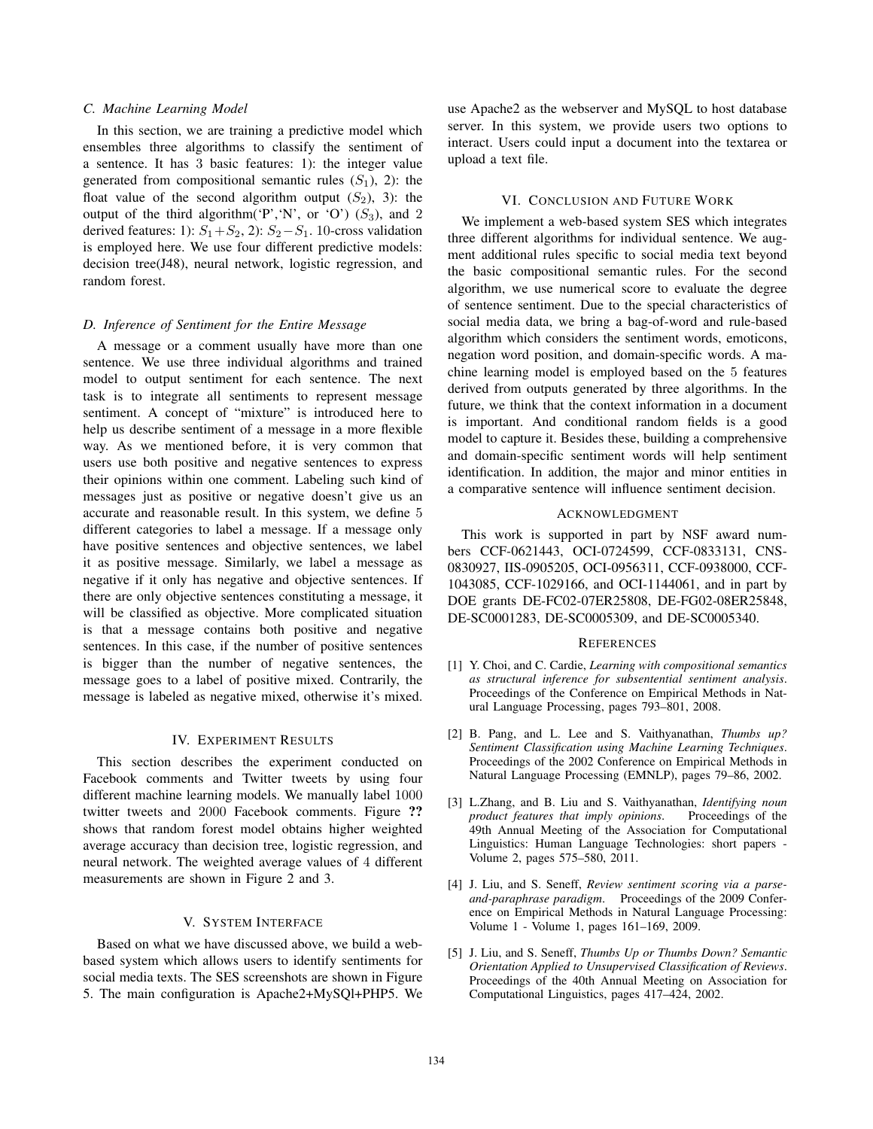## *C. Machine Learning Model*

In this section, we are training a predictive model which ensembles three algorithms to classify the sentiment of a sentence. It has 3 basic features: 1): the integer value generated from compositional semantic rules  $(S_1)$ , 2): the float value of the second algorithm output  $(S_2)$ , 3): the output of the third algorithm('P','N', or 'O')  $(S_3)$ , and 2 derived features: 1):  $S_1 + S_2$ , 2):  $S_2 - S_1$ . 10-cross validation is employed here. We use four different predictive models: decision tree(J48), neural network, logistic regression, and random forest.

## *D. Inference of Sentiment for the Entire Message*

A message or a comment usually have more than one sentence. We use three individual algorithms and trained model to output sentiment for each sentence. The next task is to integrate all sentiments to represent message sentiment. A concept of "mixture" is introduced here to help us describe sentiment of a message in a more flexible way. As we mentioned before, it is very common that users use both positive and negative sentences to express their opinions within one comment. Labeling such kind of messages just as positive or negative doesn't give us an accurate and reasonable result. In this system, we define 5 different categories to label a message. If a message only have positive sentences and objective sentences, we label it as positive message. Similarly, we label a message as negative if it only has negative and objective sentences. If there are only objective sentences constituting a message, it will be classified as objective. More complicated situation is that a message contains both positive and negative sentences. In this case, if the number of positive sentences is bigger than the number of negative sentences, the message goes to a label of positive mixed. Contrarily, the message is labeled as negative mixed, otherwise it's mixed.

#### IV. EXPERIMENT RESULTS

This section describes the experiment conducted on Facebook comments and Twitter tweets by using four different machine learning models. We manually label 1000 twitter tweets and 2000 Facebook comments. Figure ?? shows that random forest model obtains higher weighted average accuracy than decision tree, logistic regression, and neural network. The weighted average values of 4 different measurements are shown in Figure 2 and 3.

# V. SYSTEM INTERFACE

Based on what we have discussed above, we build a webbased system which allows users to identify sentiments for social media texts. The SES screenshots are shown in Figure 5. The main configuration is Apache2+MySQl+PHP5. We use Apache2 as the webserver and MySQL to host database server. In this system, we provide users two options to interact. Users could input a document into the textarea or upload a text file.

#### VI. CONCLUSION AND FUTURE WORK

We implement a web-based system SES which integrates three different algorithms for individual sentence. We augment additional rules specific to social media text beyond the basic compositional semantic rules. For the second algorithm, we use numerical score to evaluate the degree of sentence sentiment. Due to the special characteristics of social media data, we bring a bag-of-word and rule-based algorithm which considers the sentiment words, emoticons, negation word position, and domain-specific words. A machine learning model is employed based on the 5 features derived from outputs generated by three algorithms. In the future, we think that the context information in a document is important. And conditional random fields is a good model to capture it. Besides these, building a comprehensive and domain-specific sentiment words will help sentiment identification. In addition, the major and minor entities in a comparative sentence will influence sentiment decision.

#### ACKNOWLEDGMENT

This work is supported in part by NSF award numbers CCF-0621443, OCI-0724599, CCF-0833131, CNS-0830927, IIS-0905205, OCI-0956311, CCF-0938000, CCF-1043085, CCF-1029166, and OCI-1144061, and in part by DOE grants DE-FC02-07ER25808, DE-FG02-08ER25848, DE-SC0001283, DE-SC0005309, and DE-SC0005340.

#### **REFERENCES**

- [1] Y. Choi, and C. Cardie, *Learning with compositional semantics as structural inference for subsentential sentiment analysis*. Proceedings of the Conference on Empirical Methods in Natural Language Processing, pages 793–801, 2008.
- [2] B. Pang, and L. Lee and S. Vaithyanathan, *Thumbs up? Sentiment Classification using Machine Learning Techniques*. Proceedings of the 2002 Conference on Empirical Methods in Natural Language Processing (EMNLP), pages 79–86, 2002.
- [3] L.Zhang, and B. Liu and S. Vaithyanathan, *Identifying noun product features that imply opinions*. Proceedings of the 49th Annual Meeting of the Association for Computational Linguistics: Human Language Technologies: short papers - Volume 2, pages 575–580, 2011.
- [4] J. Liu, and S. Seneff, *Review sentiment scoring via a parseand-paraphrase paradigm*. Proceedings of the 2009 Conference on Empirical Methods in Natural Language Processing: Volume 1 - Volume 1, pages 161-169, 2009.
- [5] J. Liu, and S. Seneff, *Thumbs Up or Thumbs Down? Semantic Orientation Applied to Unsupervised Classification of Reviews*. Proceedings of the 40th Annual Meeting on Association for Computational Linguistics, pages 417–424, 2002.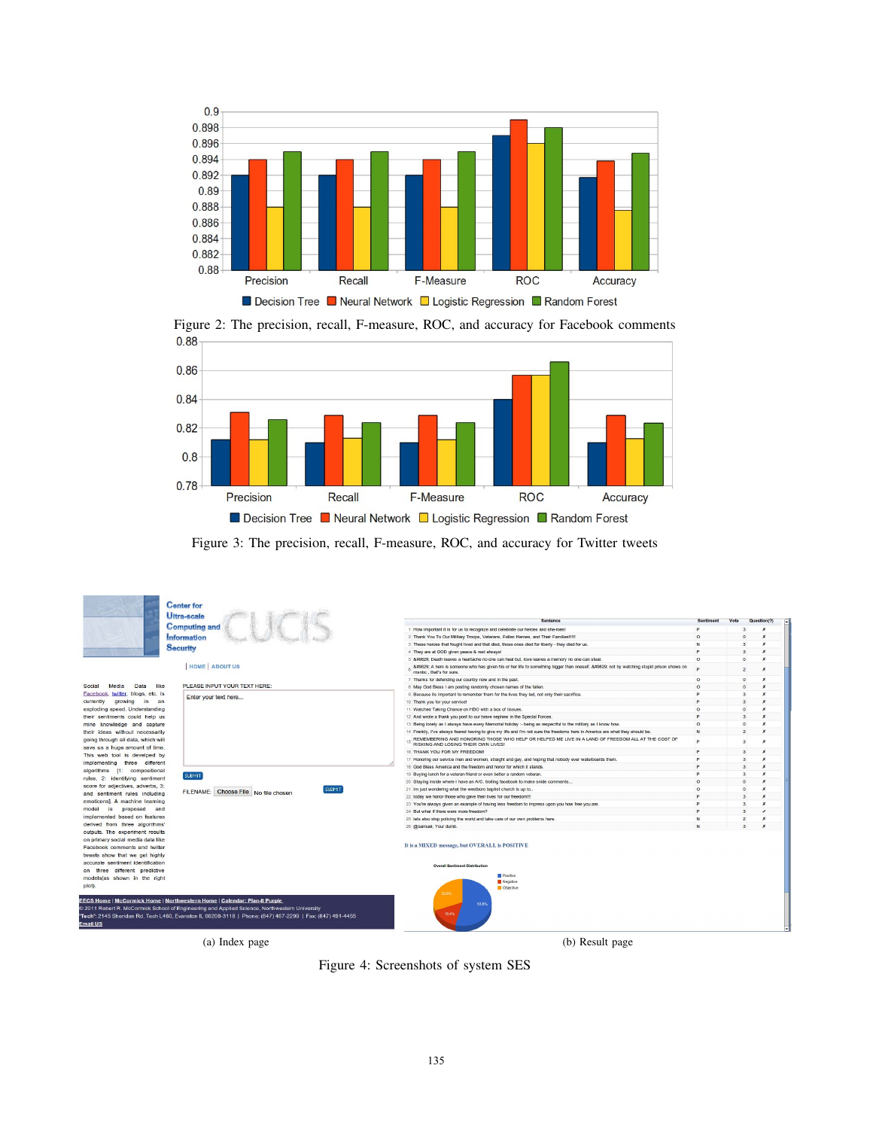





Figure 3: The precision, recall, F-measure, ROC, and accuracy for Twitter tweets